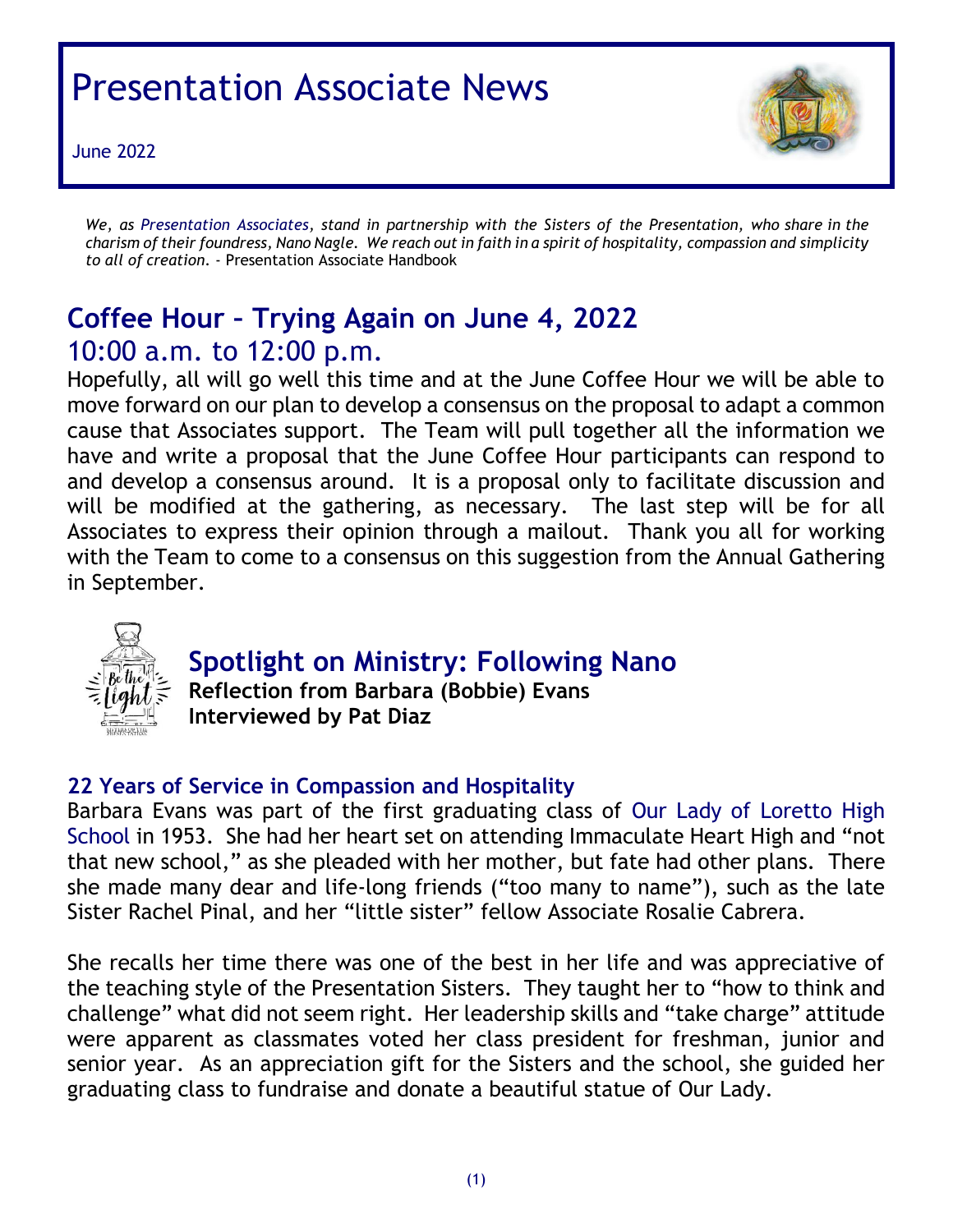# Presentation Associate News

June 2022



*We, as Presentation Associates, stand in partnership with the Sisters of the Presentation, who share in the* charism of their foundress, Nano Nagle. We reach out in faith in a spirit of hospitality, compassion and simplicity *to all of creation*. - Presentation Associate Handbook

# **Coffee Hour – Trying Again on June 4, 2022** 10:00 a.m. to 12:00 p.m.

Hopefully, all will go well this time and at the June Coffee Hour we will be able to move forward on our plan to develop a consensus on the proposal to adapt a common cause that Associates support. The Team will pull together all the information we have and write a proposal that the June Coffee Hour participants can respond to and develop a consensus around. It is a proposal only to facilitate discussion and will be modified at the gathering, as necessary. The last step will be for all Associates to express their opinion through a mailout. Thank you all for working with the Team to come to a consensus on this suggestion from the Annual Gathering in September.



#### **Spotlight on Ministry: Following Nano**

**Reflection from Barbara (Bobbie) Evans Interviewed by Pat Diaz**

#### **22 Years of Service in Compassion and Hospitality**

Barbara Evans was part of the first graduating class of Our Lady of Loretto High School in 1953. She had her heart set on attending Immaculate Heart High and "not that new school," as she pleaded with her mother, but fate had other plans. There she made many dear and life-long friends ("too many to name"), such as the late Sister Rachel Pinal, and her "little sister" fellow Associate Rosalie Cabrera.

She recalls her time there was one of the best in her life and was appreciative of the teaching style of the Presentation Sisters. They taught her to "how to think and challenge" what did not seem right. Her leadership skills and "take charge" attitude were apparent as classmates voted her class president for freshman, junior and senior year. As an appreciation gift for the Sisters and the school, she guided her graduating class to fundraise and donate a beautiful statue of Our Lady.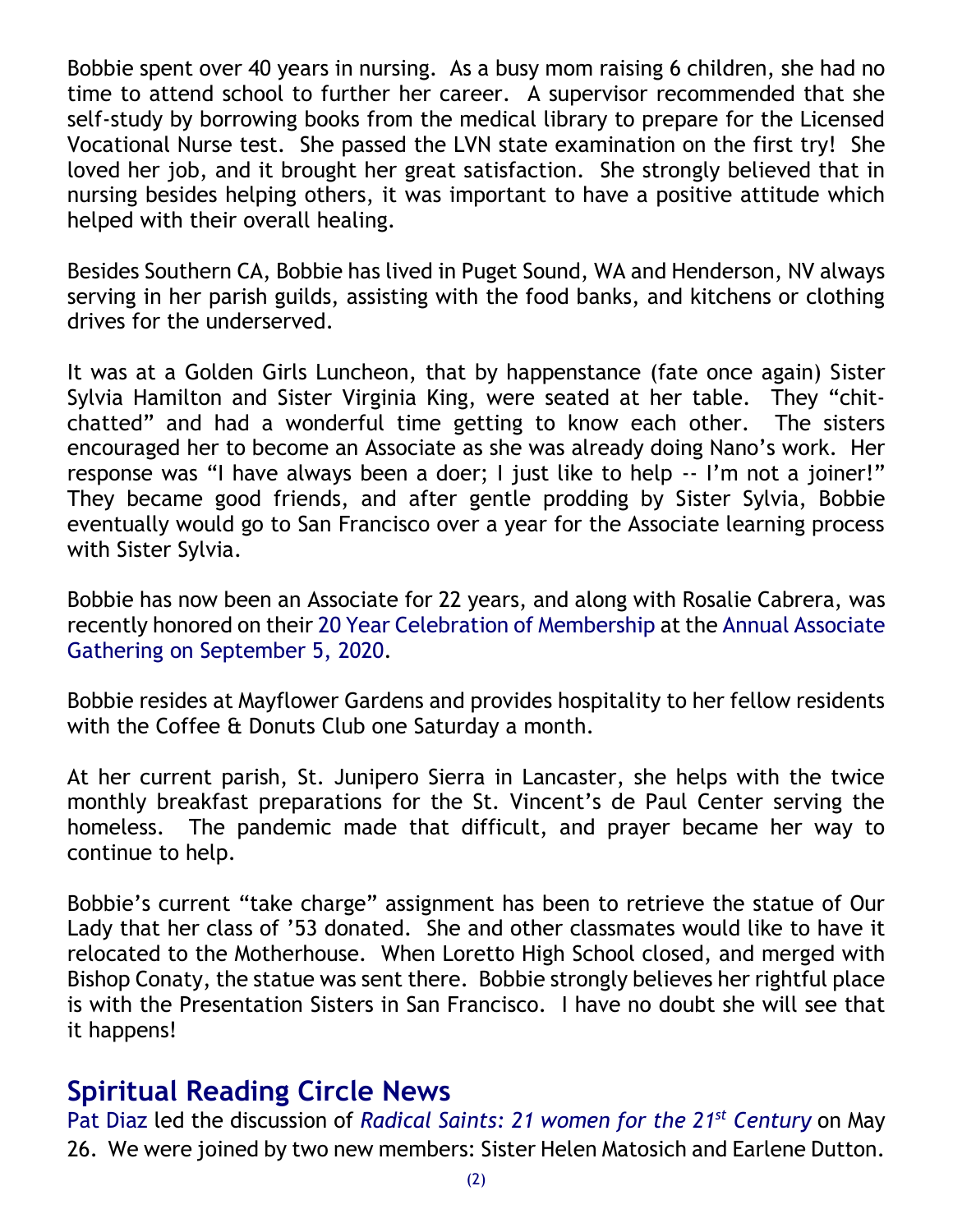Bobbie spent over 40 years in nursing. As a busy mom raising 6 children, she had no time to attend school to further her career. A supervisor recommended that she self-study by borrowing books from the medical library to prepare for the Licensed Vocational Nurse test. She passed the LVN state examination on the first try! She loved her job, and it brought her great satisfaction. She strongly believed that in nursing besides helping others, it was important to have a positive attitude which helped with their overall healing.

Besides Southern CA, Bobbie has lived in Puget Sound, WA and Henderson, NV always serving in her parish guilds, assisting with the food banks, and kitchens or clothing drives for the underserved.

It was at a Golden Girls Luncheon, that by happenstance (fate once again) Sister Sylvia Hamilton and Sister Virginia King, were seated at her table. They "chitchatted" and had a wonderful time getting to know each other. The sisters encouraged her to become an Associate as she was already doing Nano's work. Her response was "I have always been a doer; I just like to help -- I'm not a joiner!" They became good friends, and after gentle prodding by Sister Sylvia, Bobbie eventually would go to San Francisco over a year for the Associate learning process with Sister Sylvia.

Bobbie has now been an Associate for 22 years, and along with Rosalie Cabrera, was recently honored on their 20 Year Celebration of Membership at the Annual Associate Gathering on September 5, 2020.

Bobbie resides at Mayflower Gardens and provides hospitality to her fellow residents with the Coffee & Donuts Club one Saturday a month.

At her current parish, St. Junipero Sierra in Lancaster, she helps with the twice monthly breakfast preparations for the St. Vincent's de Paul Center serving the homeless. The pandemic made that difficult, and prayer became her way to continue to help.

Bobbie's current "take charge" assignment has been to retrieve the statue of Our Lady that her class of '53 donated. She and other classmates would like to have it relocated to the Motherhouse. When Loretto High School closed, and merged with Bishop Conaty, the statue was sent there. Bobbie strongly believes her rightful place is with the Presentation Sisters in San Francisco. I have no doubt she will see that it happens!

#### **Spiritual Reading Circle News**

Pat Diaz led the discussion of *Radical Saints: 21 women for the 21st Century* on May 26. We were joined by two new members: Sister Helen Matosich and Earlene Dutton.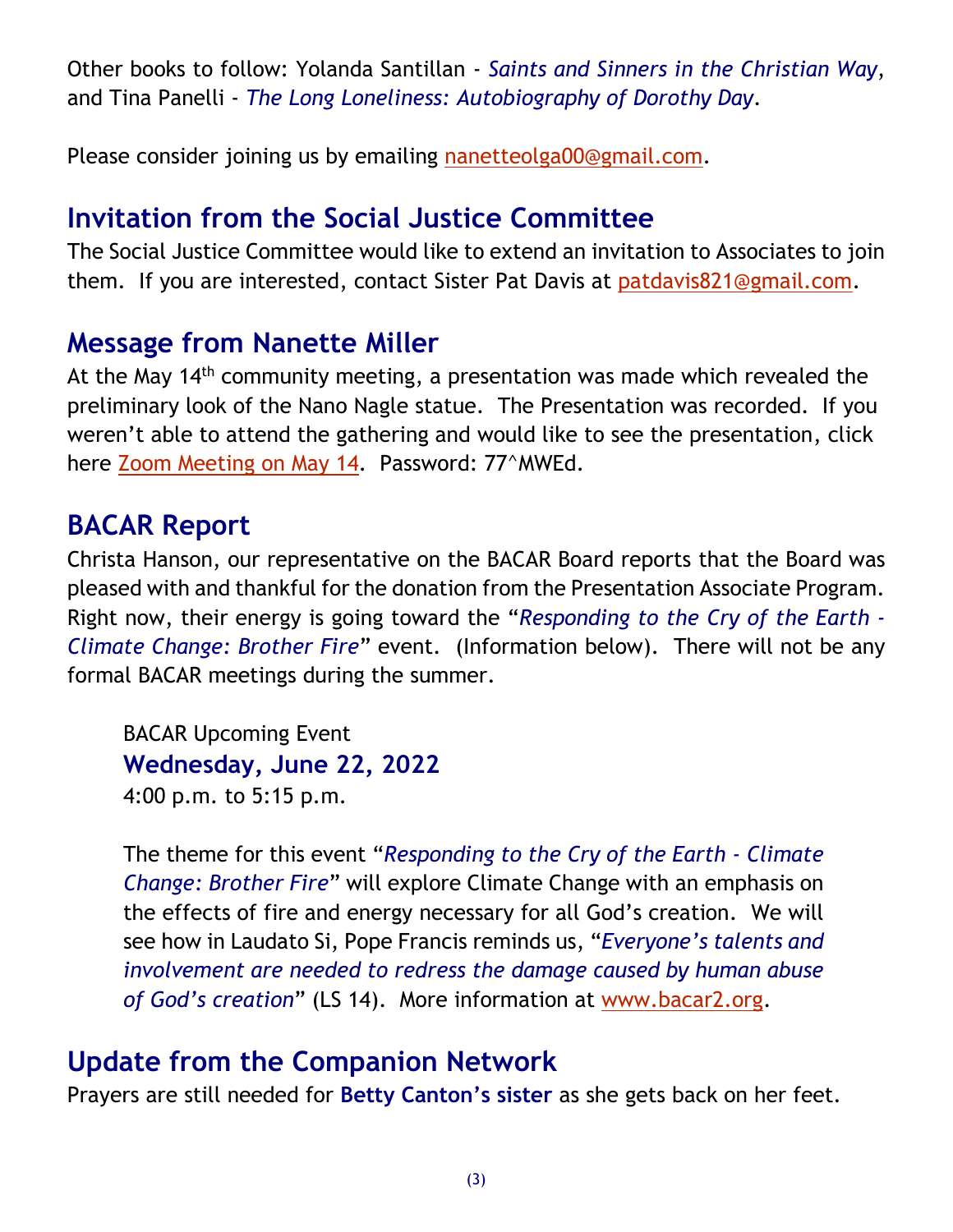Other books to follow: Yolanda Santillan - *Saints and Sinners in the Christian Way*, and Tina Panelli - *The Long Loneliness: Autobiography of Dorothy Day*.

Please consider joining us by emailing [nanetteolga00@gmail.com.](mailto:nanetteolga00@gmail.com)

# **Invitation from the Social Justice Committee**

The Social Justice Committee would like to extend an invitation to Associates to join them. If you are interested, contact Sister Pat Davis at [patdavis821@gmail.com.](mailto:patdavis821@gmail.com)

### **Message from Nanette Miller**

At the May 14<sup>th</sup> community meeting, a presentation was made which revealed the preliminary look of the Nano Nagle statue. The Presentation was recorded. If you weren't able to attend the gathering and would like to see the presentation, click here [Zoom Meeting on May 14.](https://us06web.zoom.us/rec/share/H1jOTJAJlP8aV_1IXvQKMx2V1KG10Hy2PKD9WJA8DDLa2GjC8WKaoD44rXiAY3C-.C-L1VbZjYuVCC6Iz) Password: 77^MWEd.

#### **BACAR Report**

Christa Hanson, our representative on the BACAR Board reports that the Board was pleased with and thankful for the donation from the Presentation Associate Program. Right now, their energy is going toward the "*Responding to the Cry of the Earth - Climate Change: Brother Fire*" event. (Information below). There will not be any formal BACAR meetings during the summer.

BACAR Upcoming Event **Wednesday, June 22, 2022** 4:00 p.m. to 5:15 p.m.

The theme for this event "*Responding to the Cry of the Earth - Climate Change: Brother Fire*" will explore Climate Change with an emphasis on the effects of fire and energy necessary for all God's creation. We will see how in Laudato Si, Pope Francis reminds us, "*Everyone's talents and involvement are needed to redress the damage caused by human abuse of God's creation*" (LS 14). More information at [www.bacar2.org.](http://www.bacar2.org/)

### **Update from the Companion Network**

Prayers are still needed for **Betty Canton's sister** as she gets back on her feet.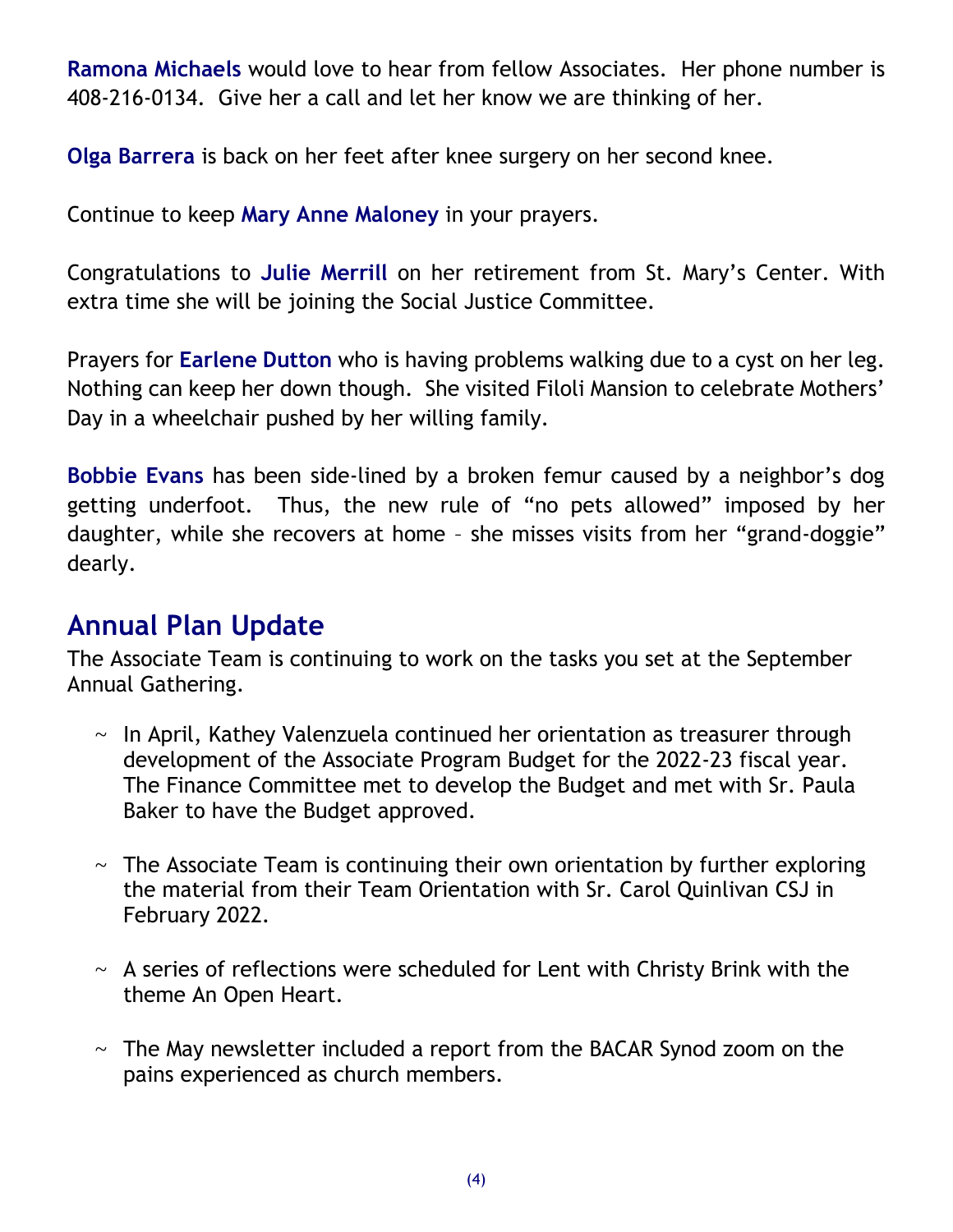**Ramona Michaels** would love to hear from fellow Associates. Her phone number is 408-216-0134. Give her a call and let her know we are thinking of her.

**Olga Barrera** is back on her feet after knee surgery on her second knee.

Continue to keep **Mary Anne Maloney** in your prayers.

Congratulations to **Julie Merrill** on her retirement from St. Mary's Center. With extra time she will be joining the Social Justice Committee.

Prayers for **Earlene Dutton** who is having problems walking due to a cyst on her leg. Nothing can keep her down though. She visited Filoli Mansion to celebrate Mothers' Day in a wheelchair pushed by her willing family.

**Bobbie Evans** has been side-lined by a broken femur caused by a neighbor's dog getting underfoot. Thus, the new rule of "no pets allowed" imposed by her daughter, while she recovers at home – she misses visits from her "grand-doggie" dearly.

## **Annual Plan Update**

The Associate Team is continuing to work on the tasks you set at the September Annual Gathering.

- $\sim$  In April, Kathey Valenzuela continued her orientation as treasurer through development of the Associate Program Budget for the 2022-23 fiscal year. The Finance Committee met to develop the Budget and met with Sr. Paula Baker to have the Budget approved.
- $\sim$  The Associate Team is continuing their own orientation by further exploring the material from their Team Orientation with Sr. Carol Quinlivan CSJ in February 2022.
- $\sim$  A series of reflections were scheduled for Lent with Christy Brink with the theme An Open Heart.
- $\sim$  The May newsletter included a report from the BACAR Synod zoom on the pains experienced as church members.